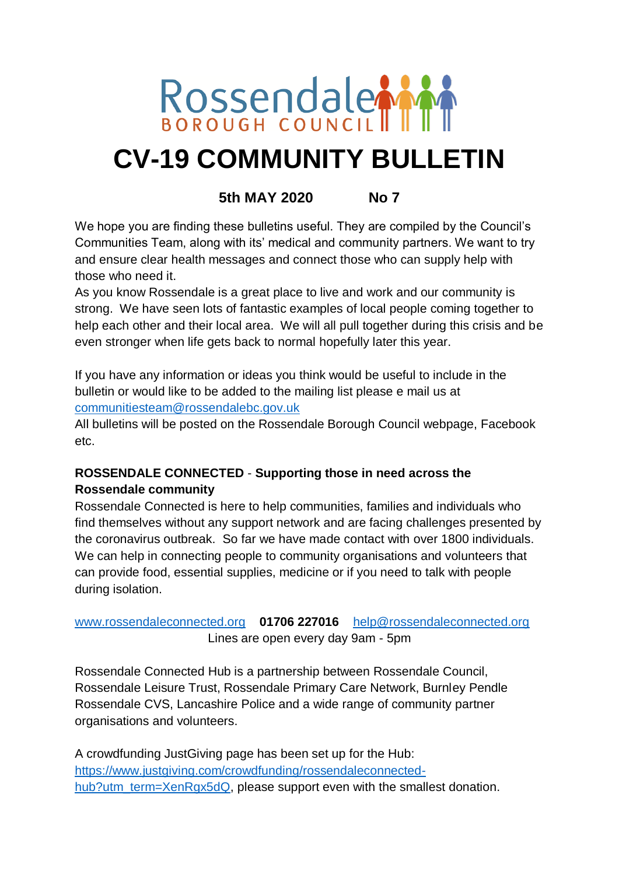

# **CV-19 COMMUNITY BULLETIN**

# **5th MAY 2020 No 7**

We hope you are finding these bulletins useful. They are compiled by the Council's Communities Team, along with its' medical and community partners. We want to try and ensure clear health messages and connect those who can supply help with those who need it.

As you know Rossendale is a great place to live and work and our community is strong. We have seen lots of fantastic examples of local people coming together to help each other and their local area. We will all pull together during this crisis and be even stronger when life gets back to normal hopefully later this year.

If you have any information or ideas you think would be useful to include in the bulletin or would like to be added to the mailing list please e mail us at [communitiesteam@rossendalebc.gov.uk](mailto:communitiesteam@rossendalebc.gov.uk)

All bulletins will be posted on the Rossendale Borough Council webpage, Facebook etc.

# **ROSSENDALE CONNECTED** - **Supporting those in need across the Rossendale community**

Rossendale Connected is here to help communities, families and individuals who find themselves without any support network and are facing challenges presented by the coronavirus outbreak. So far we have made contact with over 1800 individuals. We can help in connecting people to community organisations and volunteers that can provide food, essential supplies, medicine or if you need to talk with people during isolation.

# [www.rossendaleconnected.org](http://www.rossendaleconnected.org/) **01706 227016** [help@rossendaleconnected.org](mailto:help@rossendaleconnected.org) Lines are open every day 9am - 5pm

Rossendale Connected Hub is a partnership between Rossendale Council, Rossendale Leisure Trust, Rossendale Primary Care Network, Burnley Pendle Rossendale CVS, Lancashire Police and a wide range of community partner organisations and volunteers.

A crowdfunding JustGiving page has been set up for the Hub: [https://www.justgiving.com/crowdfunding/rossendaleconnected](https://www.justgiving.com/crowdfunding/rossendaleconnected-hub?utm_term=XenRgx5dQ)[hub?utm\\_term=XenRgx5dQ,](https://www.justgiving.com/crowdfunding/rossendaleconnected-hub?utm_term=XenRgx5dQ) please support even with the smallest donation.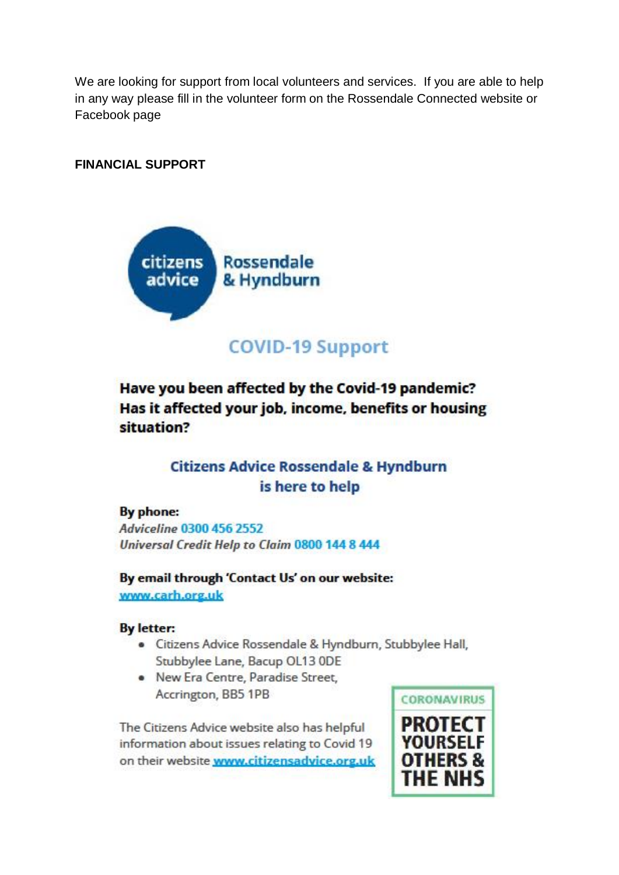We are looking for support from local volunteers and services. If you are able to help in any way please fill in the volunteer form on the Rossendale Connected website or Facebook page

# **FINANCIAL SUPPORT**



# **COVID-19 Support**

Have you been affected by the Covid-19 pandemic? Has it affected your job, income, benefits or housing situation?

# **Citizens Advice Rossendale & Hyndburn** is here to help

#### By phone:

**Adviceline 0300 456 2552** Universal Credit Help to Claim 0800 144 8 444

By email through 'Contact Us' on our website: www.carh.org.uk

#### **By letter:**

- · Citizens Advice Rossendale & Hyndburn, Stubbylee Hall, Stubbylee Lane, Bacup OL13 ODE
- New Era Centre, Paradise Street, Accrington, BB5 1PB

The Citizens Advice website also has helpful information about issues relating to Covid 19 on their website www.citizensadvice.org.uk

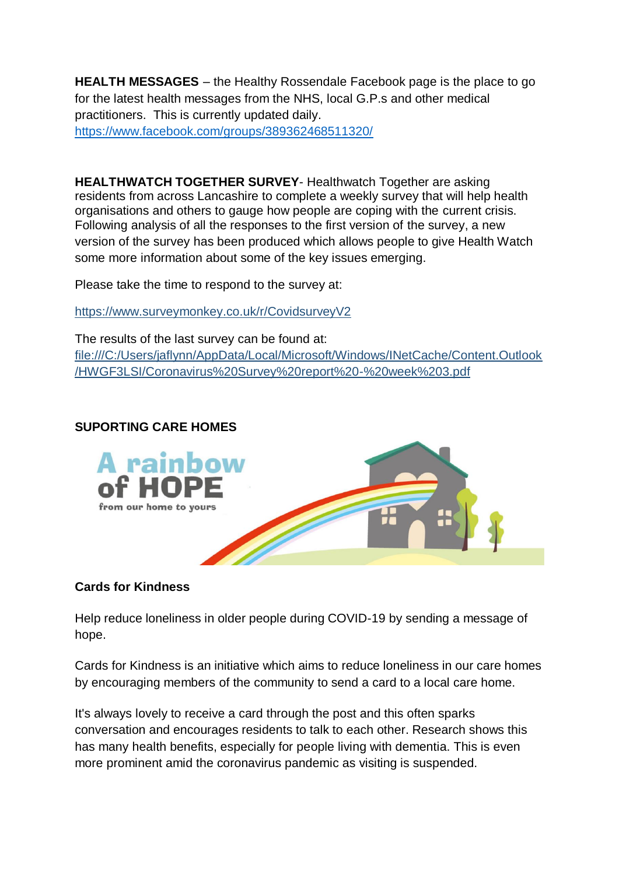**HEALTH MESSAGES** – the Healthy Rossendale Facebook page is the place to go for the latest health messages from the NHS, local G.P.s and other medical practitioners. This is currently updated daily. <https://www.facebook.com/groups/389362468511320/>

**HEALTHWATCH TOGETHER SURVEY**- Healthwatch Together are asking residents from across Lancashire to complete a weekly survey that will help health organisations and others to gauge how people are coping with the current crisis. Following analysis of all the responses to the first version of the survey, a new version of the survey has been produced which allows people to give Health Watch some more information about some of the key issues emerging.

Please take the time to respond to the survey at:

[https://www.surveymonkey.co.uk/r/CovidsurveyV2](https://protect-eu.mimecast.com/s/eLGgCj2EzS9JYyfWWNIY?domain=surveymonkey.co.uk)

The results of the last survey can be found at: [file:///C:/Users/jaflynn/AppData/Local/Microsoft/Windows/INetCache/Content.Outlook](file:///C:/Users/jaflynn/AppData/Local/Microsoft/Windows/INetCache/Content.Outlook/HWGF3LSI/Coronavirus%20Survey%20report%20-%20week%203.pdf) [/HWGF3LSI/Coronavirus%20Survey%20report%20-%20week%203.pdf](file:///C:/Users/jaflynn/AppData/Local/Microsoft/Windows/INetCache/Content.Outlook/HWGF3LSI/Coronavirus%20Survey%20report%20-%20week%203.pdf)

# **SUPORTING CARE HOMES**



# **Cards for Kindness**

Help reduce loneliness in older people during COVID-19 by sending a message of hope.

Cards for Kindness is an initiative which aims to reduce loneliness in our care homes by encouraging members of the community to send a card to a local care home.

It's always lovely to receive a card through the post and this often sparks conversation and encourages residents to talk to each other. Research shows this has many health benefits, especially for people living with dementia. This is even more prominent amid the coronavirus pandemic as visiting is suspended.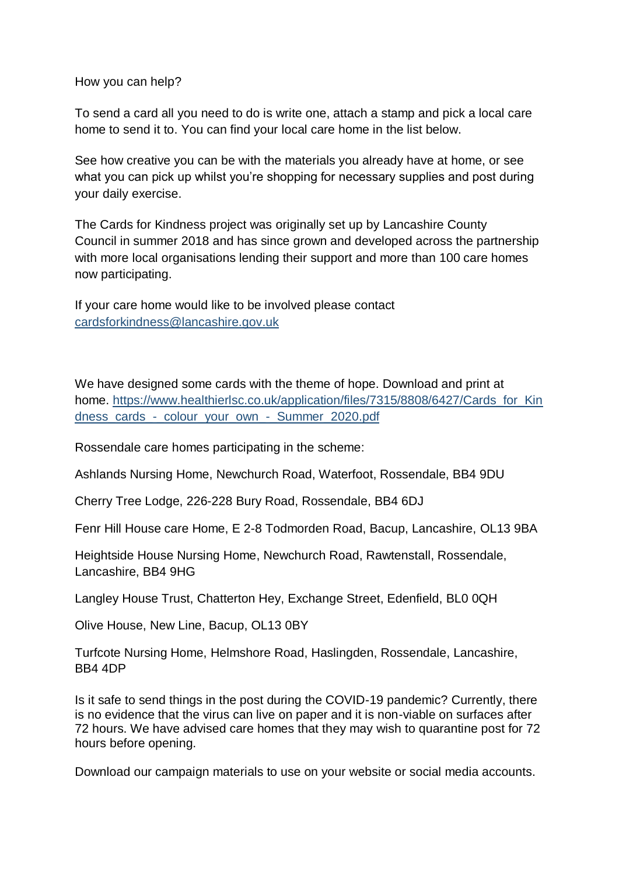How you can help?

To send a card all you need to do is write one, attach a stamp and pick a local care home to send it to. You can find your local care home in the list below.

See how creative you can be with the materials you already have at home, or see what you can pick up whilst you're shopping for necessary supplies and post during your daily exercise.

The Cards for Kindness project was originally set up by Lancashire County Council in summer 2018 and has since grown and developed across the partnership with more local organisations lending their support and more than 100 care homes now participating.

If your care home would like to be involved please contact [cardsforkindness@lancashire.gov.uk](mailto:cardsforkindness@lancashire.gov.uk)

We have designed some cards with the theme of hope. Download and print at home. [https://www.healthierlsc.co.uk/application/files/7315/8808/6427/Cards\\_for\\_Kin](https://www.healthierlsc.co.uk/application/files/7315/8808/6427/Cards_for_Kindness_cards_-_colour_your_own_-_Summer_2020.pdf) [dness\\_cards\\_-\\_colour\\_your\\_own\\_-\\_Summer\\_2020.pdf](https://www.healthierlsc.co.uk/application/files/7315/8808/6427/Cards_for_Kindness_cards_-_colour_your_own_-_Summer_2020.pdf)

Rossendale care homes participating in the scheme:

Ashlands Nursing Home, Newchurch Road, Waterfoot, Rossendale, BB4 9DU

Cherry Tree Lodge, 226-228 Bury Road, Rossendale, BB4 6DJ

Fenr Hill House care Home, E 2-8 Todmorden Road, Bacup, Lancashire, OL13 9BA

Heightside House Nursing Home, Newchurch Road, Rawtenstall, Rossendale, Lancashire, BB4 9HG

Langley House Trust, Chatterton Hey, Exchange Street, Edenfield, BL0 0QH

Olive House, New Line, Bacup, OL13 0BY

Turfcote Nursing Home, Helmshore Road, Haslingden, Rossendale, Lancashire, BB4 4DP

Is it safe to send things in the post during the COVID-19 pandemic? Currently, there is no evidence that the virus can live on paper and it is non-viable on surfaces after 72 hours. We have advised care homes that they may wish to quarantine post for 72 hours before opening.

Download our campaign materials to use on your website or social media accounts.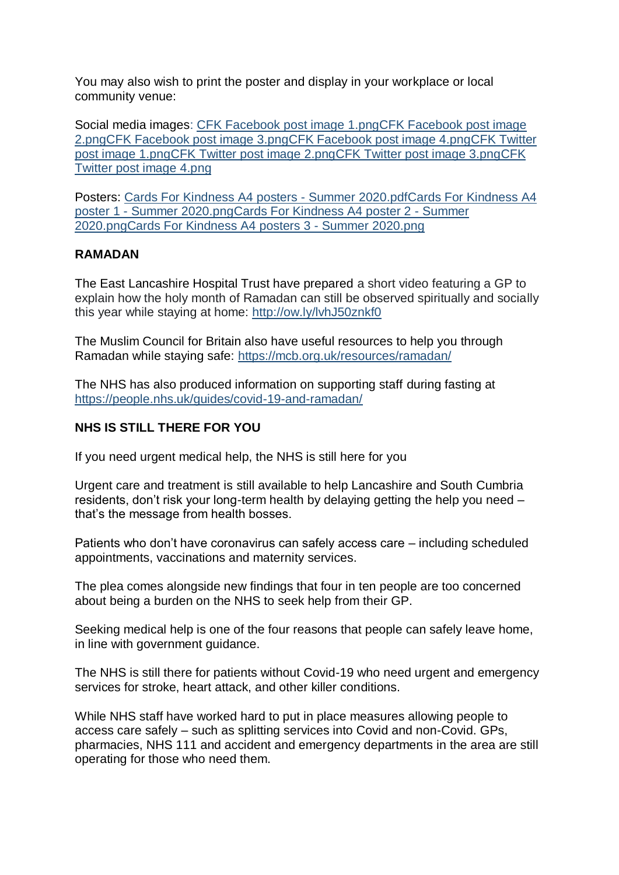You may also wish to print the poster and display in your workplace or local community venue:

Social media images: [CFK Facebook post image 1.pngCFK Facebook post image](https://protect-eu.mimecast.com/s/CYZ_CP10OSlR50iBSdTC?domain=healthierlsc.co.uk)  [2.pngCFK Facebook post image 3.png](https://protect-eu.mimecast.com/s/3iHzCQ1YPSxpNXsQvn31?domain=healthierlsc.co.uk)[CFK Facebook post image 4.pngCFK Twitter](https://protect-eu.mimecast.com/s/GutrCVm4XIv6P2SMKIcV?domain=healthierlsc.co.uk)  [post image 1.pngCFK Twitter post image 2.png](https://protect-eu.mimecast.com/s/ycDBCWn5YfkKy6irecp8?domain=healthierlsc.co.uk)[CFK Twitter post image 3.pngCFK](https://protect-eu.mimecast.com/s/cmjGCY6j1H8q6Du4fg80?domain=healthierlsc.co.uk)  [Twitter post image 4.png](https://protect-eu.mimecast.com/s/_o_sCZ4k2HGLo7H9P58s?domain=healthierlsc.co.uk)

Posters: [Cards For Kindness A4 posters -](https://protect-eu.mimecast.com/s/slmFC1jgXCRoE6hqQfvx?domain=healthierlsc.co.uk) Summer 2020.pd[fCards For Kindness A4](https://protect-eu.mimecast.com/s/slmFC1jgXCRoE6hqQfvx?domain=healthierlsc.co.uk)  poster 1 - [Summer 2020.pngCards For Kindness A4 poster 2 -](https://protect-eu.mimecast.com/s/5Nj0C2RjYCjXEVIQ-E2s?domain=healthierlsc.co.uk) Summer [2020.pngCards For Kindness A4 posters 3 -](https://protect-eu.mimecast.com/s/Q9E7C3lkZHBlRXFws_Es?domain=healthierlsc.co.uk) Summer 2020.png

#### **RAMADAN**

The East Lancashire Hospital Trust have prepared a short video featuring a GP to explain how the holy month of Ramadan can still be observed spiritually and socially this year while staying at home: [http://ow.ly/lvhJ50znkf0](http://ow.ly/lvhJ50znkf0?fbclid=IwAR0-GeXKHJUADFVu_u2H-MT-O0RpCI5o20GMLQxAS5XbvBS5Z4t1UVrhNH8)

The Muslim Council for Britain also have useful resources to help you through Ramadan while staying safe:<https://mcb.org.uk/resources/ramadan/>

The NHS has also produced information on supporting staff during fasting at <https://people.nhs.uk/guides/covid-19-and-ramadan/>

# **NHS IS STILL THERE FOR YOU**

If you need urgent medical help, the NHS is still here for you

Urgent care and treatment is still available to help Lancashire and South Cumbria residents, don't risk your long-term health by delaying getting the help you need – that's the message from health bosses.

Patients who don't have coronavirus can safely access care – including scheduled appointments, vaccinations and maternity services.

The plea comes alongside new findings that four in ten people are too concerned about being a burden on the NHS to seek help from their GP.

Seeking medical help is one of the four reasons that people can safely leave home, in line with government guidance.

The NHS is still there for patients without Covid-19 who need urgent and emergency services for stroke, heart attack, and other killer conditions.

While NHS staff have worked hard to put in place measures allowing people to access care safely – such as splitting services into Covid and non-Covid. GPs, pharmacies, NHS 111 and accident and emergency departments in the area are still operating for those who need them.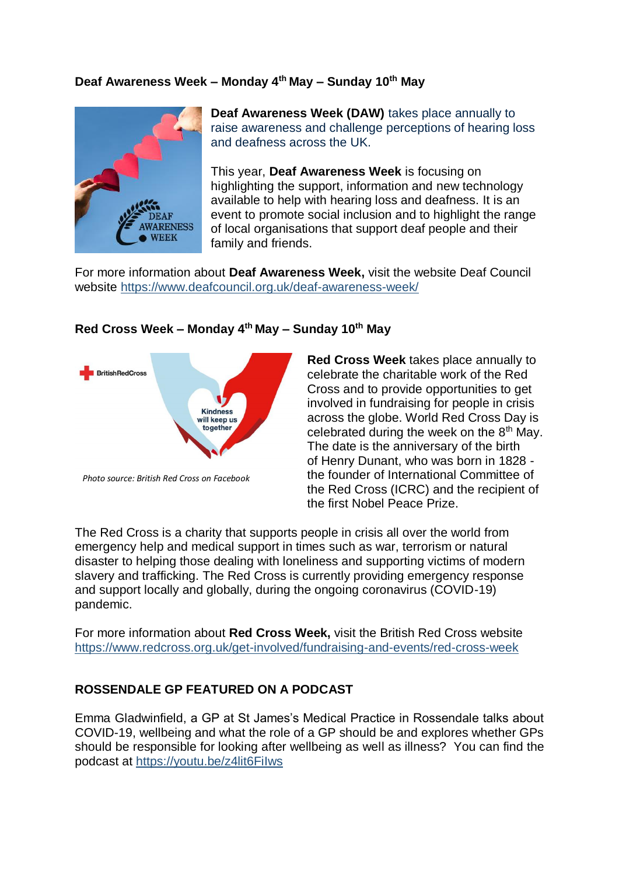#### **Deaf Awareness Week – Monday 4th May – Sunday 10th May**



**Deaf Awareness Week (DAW)** takes place annually to raise awareness and challenge perceptions of hearing loss and deafness across the UK.

This year, **Deaf Awareness Week** is focusing on highlighting the support, information and new technology available to help with hearing loss and deafness. It is an event to promote social inclusion and to highlight the range of local organisations that support deaf people and their family and friends.

For more information about **Deaf Awareness Week,** visit the website Deaf Council website<https://www.deafcouncil.org.uk/deaf-awareness-week/>



#### **Red Cross Week – Monday 4th May – Sunday 10th May**

*Photo source: British Red Cross on Facebook*

**Red Cross Week** takes place annually to celebrate the charitable work of the Red Cross and to provide opportunities to get involved in fundraising for people in crisis across the globe. World Red Cross Day is celebrated during the week on the  $8<sup>th</sup>$  May. The date is the anniversary of the birth of [Henry Dunant,](https://en.wikipedia.org/wiki/Henry_Dunant) who was born in 1828 the founder of [International Committee of](https://en.wikipedia.org/wiki/International_Committee_of_the_Red_Cross)  [the Red Cross](https://en.wikipedia.org/wiki/International_Committee_of_the_Red_Cross) (ICRC) and the recipient of the first [Nobel Peace Prize.](https://en.wikipedia.org/wiki/Nobel_Peace_Prize)

The Red Cross is a charity that supports people in crisis all over the world from emergency help and medical support in times such as war, terrorism or natural disaster to helping those dealing with loneliness and supporting victims of modern slavery and trafficking. The Red Cross is currently providing emergency response and support locally and globally, during the ongoing coronavirus (COVID-19) pandemic.

For more information about **Red Cross Week,** visit the British Red Cross website <https://www.redcross.org.uk/get-involved/fundraising-and-events/red-cross-week>

# **ROSSENDALE GP FEATURED ON A PODCAST**

Emma Gladwinfield, a GP at St James's Medical Practice in Rossendale talks about COVID-19, wellbeing and what the role of a GP should be and explores whether GPs should be responsible for looking after wellbeing as well as illness? You can find the podcast at [https://youtu.be/z4lit6FiIws](https://protect-eu.mimecast.com/s/a9IpCBgDwComgGTzW8I8?domain=youtu.be)